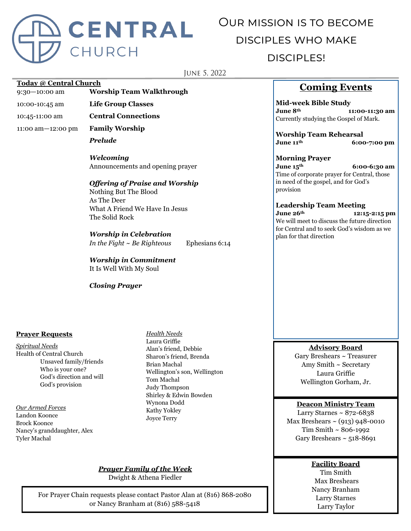

# Our mission is to become disciples who make disciples!

JUNE 5, 2022

#### **Today @ Central Church**

9:30—10:00 am **Worship Team Walkthrough**

10:00-10:45 am **Life Group Classes**

10:45-11:00 am **Central Connections**

11:00 am—12:00 pm **Family Worship**

*Prelude*

*Welcoming* Announcements and opening prayer

#### *Offering of Praise and Worship*

Nothing But The Blood As The Deer What A Friend We Have In Jesus The Solid Rock

#### *Worship in Celebration*

*In the Fight ~ Be Righteous* Ephesians 6:14

*Worship in Commitment* It Is Well With My Soul

*Closing Prayer*

#### **Prayer Requests**

*Spiritual Needs* Health of Central Church Unsaved family/friends Who is your one? God's direction and will God's provision

*Our Armed Forces* Landon Koonce Brock Koonce Nancy's granddaughter, Alex Tyler Machal

*Health Needs* Laura Griffie Alan's friend, Debbie Sharon's friend, Brenda Brian Machal Wellington's son, Wellington Tom Machal Judy Thompson Shirley & Edwin Bowden Wynona Dodd Kathy Yokley Joyce Terry

#### *Prayer Family of the Week*

Dwight & Athena Fiedler

For Prayer Chain requests please contact Pastor Alan at (816) 868-2080 or Nancy Branham at (816) 588-5418

# **Coming Events**

**Mid-week Bible Study June 8th 11:00-11:30 am** Currently studying the Gospel of Mark.

**Worship Team Rehearsal June 11th 6:00-7:00 pm**

#### **Morning Prayer**

**June 15th 6:00-6:30 am** Time of corporate prayer for Central, those in need of the gospel, and for God's provision

### **Leadership Team Meeting**

**June 26th 12:15-2:15 pm** We will meet to discuss the future direction for Central and to seek God's wisdom as we plan for that direction

#### **Advisory Board**

Gary Breshears ~ Treasurer Amy Smith ~ Secretary Laura Griffie Wellington Gorham, Jr.

#### **Deacon Ministry Team**

Larry Starnes  $\sim 872 - 6838$ Max Breshears  $\sim$  (913) 948-0010 Tim Smith ~ 806-1992 Gary Breshears  $\sim$  518-8691

#### **Facility Board**

Tim Smith Max Breshears Nancy Branham Larry Starnes Larry Taylor